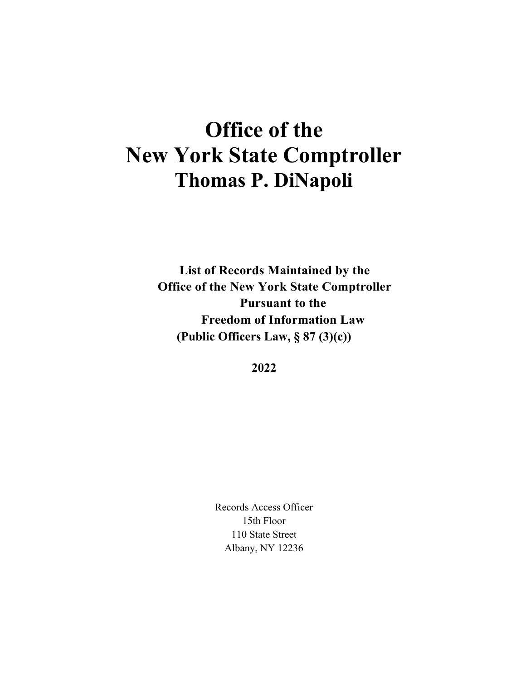# **Office of the New York State Comptroller Thomas P. DiNapoli**

**List of Records Maintained by the Office of the New York State Comptroller Pursuant to the Freedom of Information Law (Public Officers Law, § 87 (3)(c))**

**2022**

Records Access Officer 15th Floor 110 State Street Albany, NY 12236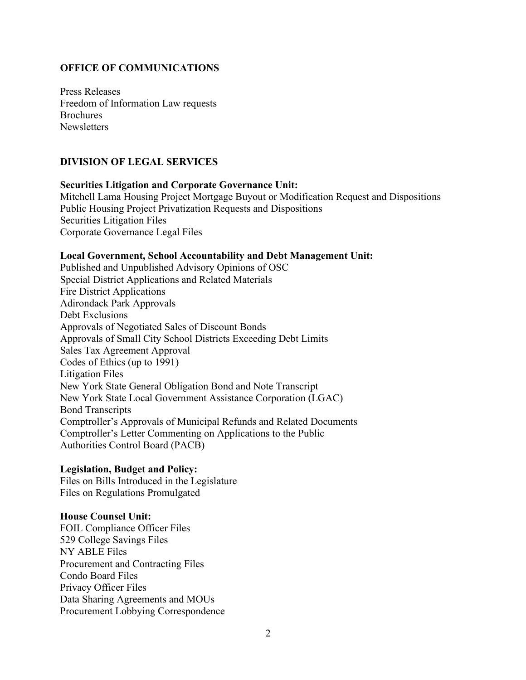## **OFFICE OF COMMUNICATIONS**

Press Releases Freedom of Information Law requests **Brochures Newsletters** 

## **DIVISION OF LEGAL SERVICES**

# **Securities Litigation and Corporate Governance Unit:** Mitchell Lama Housing Project Mortgage Buyout or Modification Request and Dispositions Public Housing Project Privatization Requests and Dispositions Securities Litigation Files Corporate Governance Legal Files

#### **Local Government, School Accountability and Debt Management Unit:**

Published and Unpublished Advisory Opinions of OSC Special District Applications and Related Materials Fire District Applications Adirondack Park Approvals Debt Exclusions Approvals of Negotiated Sales of Discount Bonds Approvals of Small City School Districts Exceeding Debt Limits Sales Tax Agreement Approval Codes of Ethics (up to 1991) Litigation Files New York State General Obligation Bond and Note Transcript New York State Local Government Assistance Corporation (LGAC) Bond Transcripts Comptroller's Approvals of Municipal Refunds and Related Documents Comptroller's Letter Commenting on Applications to the Public Authorities Control Board (PACB)

## **Legislation, Budget and Policy:**

Files on Bills Introduced in the Legislature Files on Regulations Promulgated

#### **House Counsel Unit:**

FOIL Compliance Officer Files 529 College Savings Files NY ABLE Files Procurement and Contracting Files Condo Board Files Privacy Officer Files Data Sharing Agreements and MOUs Procurement Lobbying Correspondence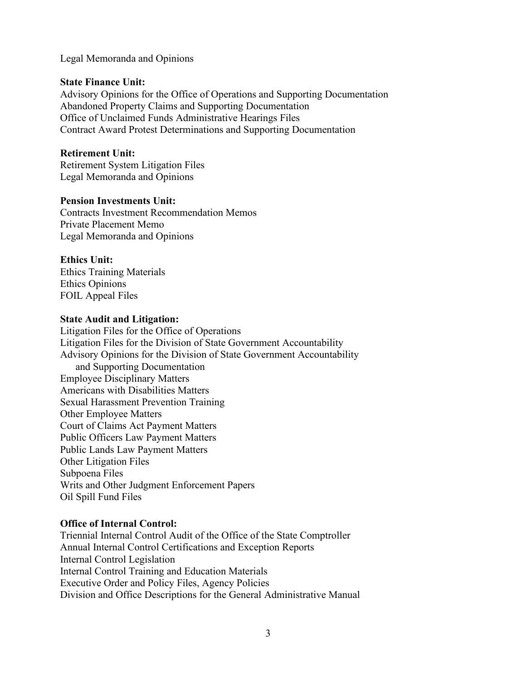Legal Memoranda and Opinions

#### **State Finance Unit:**

Advisory Opinions for the Office of Operations and Supporting Documentation Abandoned Property Claims and Supporting Documentation Office of Unclaimed Funds Administrative Hearings Files Contract Award Protest Determinations and Supporting Documentation

## **Retirement Unit:**

Retirement System Litigation Files Legal Memoranda and Opinions

## **Pension Investments Unit:**

Contracts Investment Recommendation Memos Private Placement Memo Legal Memoranda and Opinions

## **Ethics Unit:**

Ethics Training Materials Ethics Opinions FOIL Appeal Files

#### **State Audit and Litigation:**

Litigation Files for the Office of Operations Litigation Files for the Division of State Government Accountability Advisory Opinions for the Division of State Government Accountability and Supporting Documentation Employee Disciplinary Matters Americans with Disabilities Matters Sexual Harassment Prevention Training Other Employee Matters Court of Claims Act Payment Matters Public Officers Law Payment Matters Public Lands Law Payment Matters Other Litigation Files Subpoena Files Writs and Other Judgment Enforcement Papers Oil Spill Fund Files

## **Office of Internal Control:**

Triennial Internal Control Audit of the Office of the State Comptroller Annual Internal Control Certifications and Exception Reports Internal Control Legislation Internal Control Training and Education Materials Executive Order and Policy Files, Agency Policies Division and Office Descriptions for the General Administrative Manual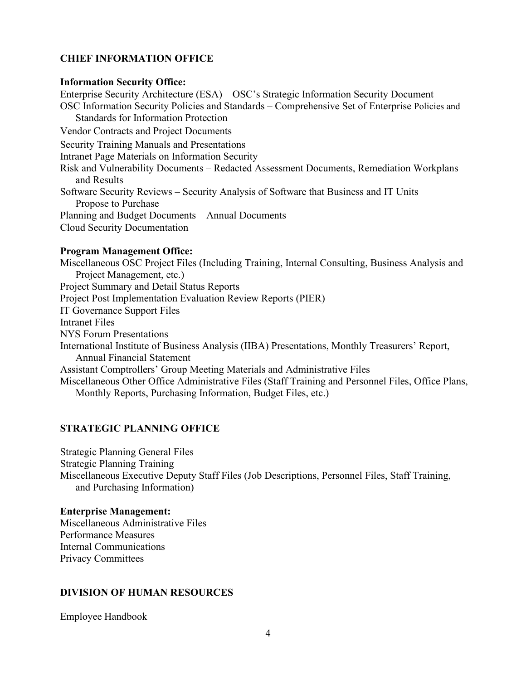## **CHIEF INFORMATION OFFICE**

#### **Information Security Office:**

Enterprise Security Architecture (ESA) – OSC's Strategic Information Security Document OSC Information Security Policies and Standards – Comprehensive Set of Enterprise Policies and Standards for Information Protection Vendor Contracts and Project Documents Security Training Manuals and Presentations Intranet Page Materials on Information Security Risk and Vulnerability Documents – Redacted Assessment Documents, Remediation Workplans and Results Software Security Reviews – Security Analysis of Software that Business and IT Units Propose to Purchase Planning and Budget Documents – Annual Documents Cloud Security Documentation

#### **Program Management Office:**

Miscellaneous OSC Project Files (Including Training, Internal Consulting, Business Analysis and Project Management, etc.) Project Summary and Detail Status Reports Project Post Implementation Evaluation Review Reports (PIER) IT Governance Support Files Intranet Files NYS Forum Presentations International Institute of Business Analysis (IIBA) Presentations, Monthly Treasurers' Report, Annual Financial Statement Assistant Comptrollers' Group Meeting Materials and Administrative Files Miscellaneous Other Office Administrative Files (Staff Training and Personnel Files, Office Plans, Monthly Reports, Purchasing Information, Budget Files, etc.)

#### **STRATEGIC PLANNING OFFICE**

Strategic Planning General Files Strategic Planning Training Miscellaneous Executive Deputy Staff Files (Job Descriptions, Personnel Files, Staff Training, and Purchasing Information)

#### **Enterprise Management:**

Miscellaneous Administrative Files Performance Measures Internal Communications Privacy Committees

#### **DIVISION OF HUMAN RESOURCES**

Employee Handbook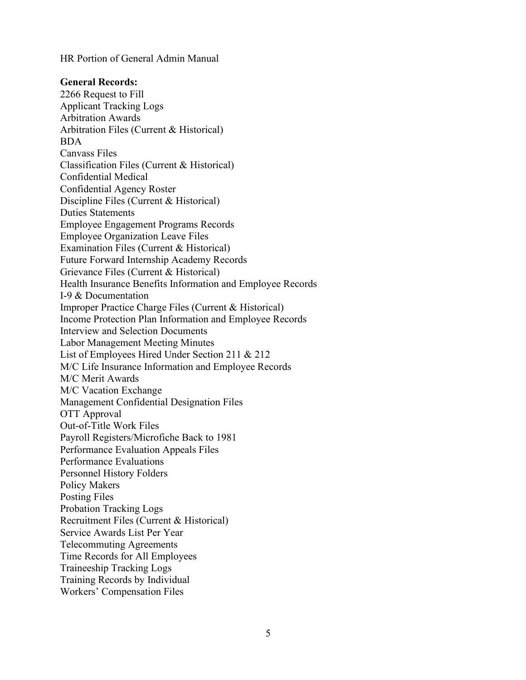HR Portion of General Admin Manual

#### **General Records:**

2266 Request to Fill Applicant Tracking Logs Arbitration Awards Arbitration Files (Current & Historical) BDA Canvass Files Classification Files (Current & Historical) Confidential Medical Confidential Agency Roster Discipline Files (Current & Historical) Duties Statements Employee Engagement Programs Records Employee Organization Leave Files Examination Files (Current & Historical) Future Forward Internship Academy Records Grievance Files (Current & Historical) Health Insurance Benefits Information and Employee Records I-9 & Documentation Improper Practice Charge Files (Current & Historical) Income Protection Plan Information and Employee Records Interview and Selection Documents Labor Management Meeting Minutes List of Employees Hired Under Section 211 & 212 M/C Life Insurance Information and Employee Records M/C Merit Awards M/C Vacation Exchange Management Confidential Designation Files OTT Approval Out-of-Title Work Files Payroll Registers/Microfiche Back to 1981 Performance Evaluation Appeals Files Performance Evaluations Personnel History Folders Policy Makers Posting Files Probation Tracking Logs Recruitment Files (Current & Historical) Service Awards List Per Year Telecommuting Agreements Time Records for All Employees Traineeship Tracking Logs Training Records by Individual Workers' Compensation Files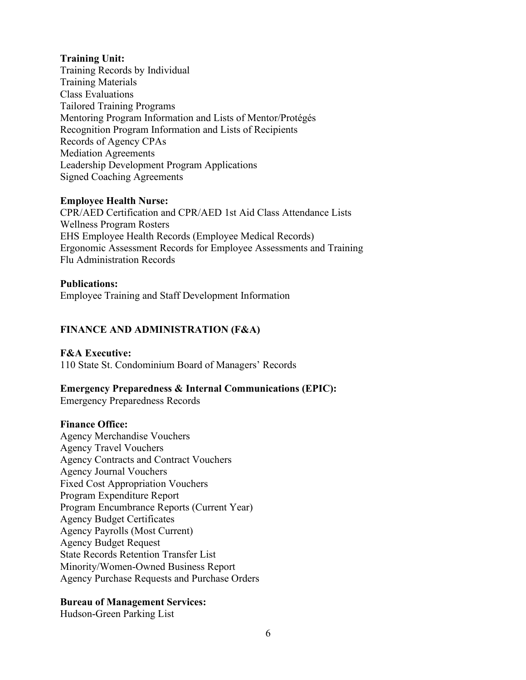## **Training Unit:**

Training Records by Individual Training Materials Class Evaluations Tailored Training Programs Mentoring Program Information and Lists of Mentor/Protégés Recognition Program Information and Lists of Recipients Records of Agency CPAs Mediation Agreements Leadership Development Program Applications Signed Coaching Agreements

#### **Employee Health Nurse:**

CPR/AED Certification and CPR/AED 1st Aid Class Attendance Lists Wellness Program Rosters EHS Employee Health Records (Employee Medical Records) Ergonomic Assessment Records for Employee Assessments and Training Flu Administration Records

#### **Publications:**

Employee Training and Staff Development Information

# **FINANCE AND ADMINISTRATION (F&A)**

#### **F&A Executive:**

110 State St. Condominium Board of Managers' Records

#### **Emergency Preparedness & Internal Communications (EPIC):**

Emergency Preparedness Records

#### **Finance Office:**

Agency Merchandise Vouchers Agency Travel Vouchers Agency Contracts and Contract Vouchers Agency Journal Vouchers Fixed Cost Appropriation Vouchers Program Expenditure Report Program Encumbrance Reports (Current Year) Agency Budget Certificates Agency Payrolls (Most Current) Agency Budget Request State Records Retention Transfer List Minority/Women-Owned Business Report Agency Purchase Requests and Purchase Orders

## **Bureau of Management Services:**

Hudson-Green Parking List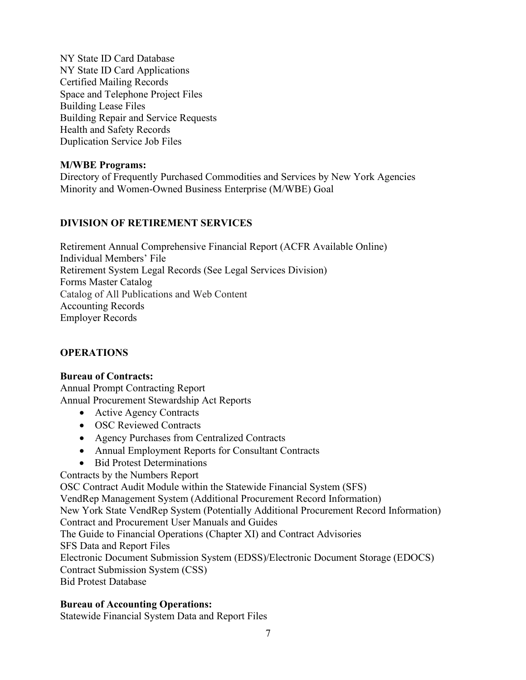NY State ID Card Database NY State ID Card Applications Certified Mailing Records Space and Telephone Project Files Building Lease Files Building Repair and Service Requests Health and Safety Records Duplication Service Job Files

## **M/WBE Programs:**

Directory of Frequently Purchased Commodities and Services by New York Agencies Minority and Women-Owned Business Enterprise (M/WBE) Goal

# **DIVISION OF RETIREMENT SERVICES**

Retirement Annual Comprehensive Financial Report (ACFR Available Online) Individual Members' File Retirement System Legal Records (See Legal Services Division) Forms Master Catalog Catalog of All Publications and Web Content Accounting Records Employer Records

# **OPERATIONS**

## **Bureau of Contracts:**

Annual Prompt Contracting Report Annual Procurement Stewardship Act Reports

- Active Agency Contracts
- OSC Reviewed Contracts
- Agency Purchases from Centralized Contracts
- Annual Employment Reports for Consultant Contracts
- Bid Protest Determinations

Contracts by the Numbers Report

OSC Contract Audit Module within the Statewide Financial System (SFS)

VendRep Management System (Additional Procurement Record Information)

New York State VendRep System (Potentially Additional Procurement Record Information)

Contract and Procurement User Manuals and Guides

The Guide to Financial Operations (Chapter XI) and Contract Advisories

SFS Data and Report Files

Electronic Document Submission System (EDSS)/Electronic Document Storage (EDOCS) Contract Submission System (CSS)

Bid Protest Database

# **Bureau of Accounting Operations:**

Statewide Financial System Data and Report Files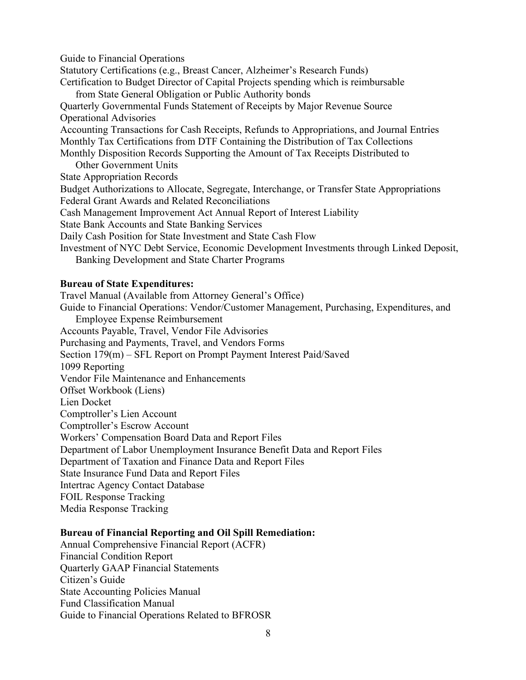Guide to Financial Operations Statutory Certifications (e.g., Breast Cancer, Alzheimer's Research Funds) Certification to Budget Director of Capital Projects spending which is reimbursable from State General Obligation or Public Authority bonds Quarterly Governmental Funds Statement of Receipts by Major Revenue Source Operational Advisories Accounting Transactions for Cash Receipts, Refunds to Appropriations, and Journal Entries Monthly Tax Certifications from DTF Containing the Distribution of Tax Collections Monthly Disposition Records Supporting the Amount of Tax Receipts Distributed to Other Government Units State Appropriation Records Budget Authorizations to Allocate, Segregate, Interchange, or Transfer State Appropriations Federal Grant Awards and Related Reconciliations Cash Management Improvement Act Annual Report of Interest Liability State Bank Accounts and State Banking Services Daily Cash Position for State Investment and State Cash Flow Investment of NYC Debt Service, Economic Development Investments through Linked Deposit, Banking Development and State Charter Programs

#### **Bureau of State Expenditures:**

Travel Manual (Available from Attorney General's Office) Guide to Financial Operations: Vendor/Customer Management, Purchasing, Expenditures, and Employee Expense Reimbursement Accounts Payable, Travel, Vendor File Advisories Purchasing and Payments, Travel, and Vendors Forms Section 179(m) – SFL Report on Prompt Payment Interest Paid/Saved 1099 Reporting Vendor File Maintenance and Enhancements Offset Workbook (Liens) Lien Docket Comptroller's Lien Account Comptroller's Escrow Account Workers' Compensation Board Data and Report Files Department of Labor Unemployment Insurance Benefit Data and Report Files Department of Taxation and Finance Data and Report Files State Insurance Fund Data and Report Files Intertrac Agency Contact Database FOIL Response Tracking Media Response Tracking

#### **Bureau of Financial Reporting and Oil Spill Remediation:**

Annual Comprehensive Financial Report (ACFR) Financial Condition Report Quarterly GAAP Financial Statements Citizen's Guide State Accounting Policies Manual Fund Classification Manual Guide to Financial Operations Related to BFROSR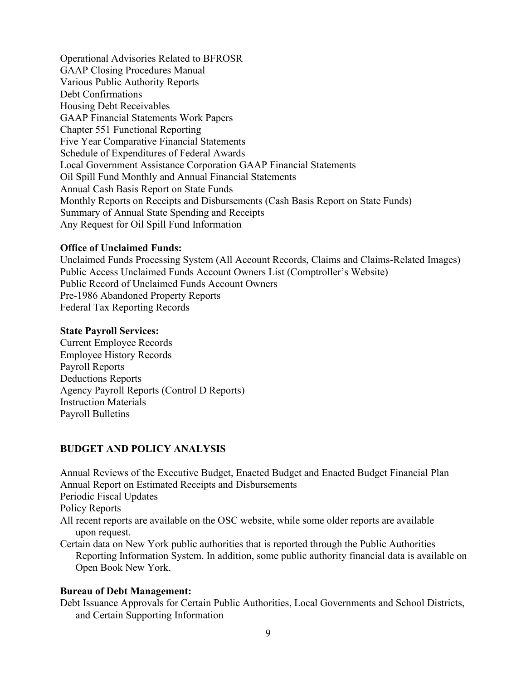Operational Advisories Related to BFROSR GAAP Closing Procedures Manual Various Public Authority Reports Debt Confirmations Housing Debt Receivables GAAP Financial Statements Work Papers Chapter 551 Functional Reporting Five Year Comparative Financial Statements Schedule of Expenditures of Federal Awards Local Government Assistance Corporation GAAP Financial Statements Oil Spill Fund Monthly and Annual Financial Statements Annual Cash Basis Report on State Funds Monthly Reports on Receipts and Disbursements (Cash Basis Report on State Funds) Summary of Annual State Spending and Receipts Any Request for Oil Spill Fund Information

## **Office of Unclaimed Funds:**

Unclaimed Funds Processing System (All Account Records, Claims and Claims-Related Images) Public Access Unclaimed Funds Account Owners List (Comptroller's Website) Public Record of Unclaimed Funds Account Owners Pre-1986 Abandoned Property Reports Federal Tax Reporting Records

#### **State Payroll Services:**

Current Employee Records Employee History Records Payroll Reports Deductions Reports Agency Payroll Reports (Control D Reports) Instruction Materials Payroll Bulletins

## **BUDGET AND POLICY ANALYSIS**

Annual Reviews of the Executive Budget, Enacted Budget and Enacted Budget Financial Plan Annual Report on Estimated Receipts and Disbursements Periodic Fiscal Updates Policy Reports All recent reports are available on the OSC website, while some older reports are available upon request. Certain data on New York public authorities that is reported through the Public Authorities

Reporting Information System. In addition, some public authority financial data is available on Open Book New York.

## **Bureau of Debt Management:**

Debt Issuance Approvals for Certain Public Authorities, Local Governments and School Districts, and Certain Supporting Information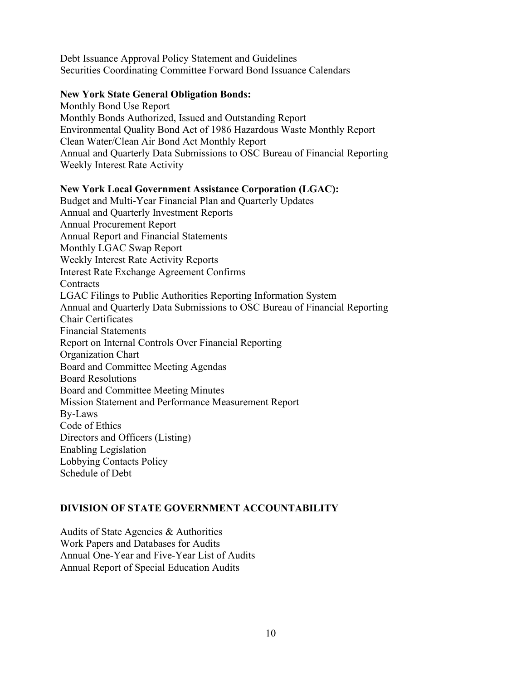Debt Issuance Approval Policy Statement and Guidelines Securities Coordinating Committee Forward Bond Issuance Calendars

## **New York State General Obligation Bonds:**

Monthly Bond Use Report Monthly Bonds Authorized, Issued and Outstanding Report Environmental Quality Bond Act of 1986 Hazardous Waste Monthly Report Clean Water/Clean Air Bond Act Monthly Report Annual and Quarterly Data Submissions to OSC Bureau of Financial Reporting Weekly Interest Rate Activity

## **New York Local Government Assistance Corporation (LGAC):**

Budget and Multi-Year Financial Plan and Quarterly Updates Annual and Quarterly Investment Reports Annual Procurement Report Annual Report and Financial Statements Monthly LGAC Swap Report Weekly Interest Rate Activity Reports Interest Rate Exchange Agreement Confirms **Contracts** LGAC Filings to Public Authorities Reporting Information System Annual and Quarterly Data Submissions to OSC Bureau of Financial Reporting Chair Certificates Financial Statements Report on Internal Controls Over Financial Reporting Organization Chart Board and Committee Meeting Agendas Board Resolutions Board and Committee Meeting Minutes Mission Statement and Performance Measurement Report By-Laws Code of Ethics Directors and Officers (Listing) Enabling Legislation Lobbying Contacts Policy Schedule of Debt

# **DIVISION OF STATE GOVERNMENT ACCOUNTABILITY**

Audits of State Agencies & Authorities Work Papers and Databases for Audits Annual One-Year and Five-Year List of Audits Annual Report of Special Education Audits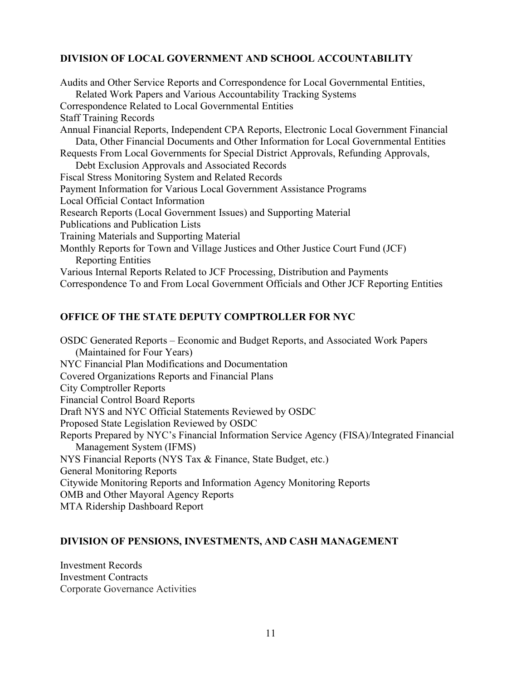# **DIVISION OF LOCAL GOVERNMENT AND SCHOOL ACCOUNTABILITY**

Audits and Other Service Reports and Correspondence for Local Governmental Entities, Related Work Papers and Various Accountability Tracking Systems Correspondence Related to Local Governmental Entities Staff Training Records Annual Financial Reports, Independent CPA Reports, Electronic Local Government Financial Data, Other Financial Documents and Other Information for Local Governmental Entities Requests From Local Governments for Special District Approvals, Refunding Approvals, Debt Exclusion Approvals and Associated Records Fiscal Stress Monitoring System and Related Records Payment Information for Various Local Government Assistance Programs Local Official Contact Information Research Reports (Local Government Issues) and Supporting Material Publications and Publication Lists Training Materials and Supporting Material Monthly Reports for Town and Village Justices and Other Justice Court Fund (JCF) Reporting Entities Various Internal Reports Related to JCF Processing, Distribution and Payments Correspondence To and From Local Government Officials and Other JCF Reporting Entities

## **OFFICE OF THE STATE DEPUTY COMPTROLLER FOR NYC**

OSDC Generated Reports – Economic and Budget Reports, and Associated Work Papers (Maintained for Four Years) NYC Financial Plan Modifications and Documentation Covered Organizations Reports and Financial Plans City Comptroller Reports Financial Control Board Reports Draft NYS and NYC Official Statements Reviewed by OSDC Proposed State Legislation Reviewed by OSDC Reports Prepared by NYC's Financial Information Service Agency (FISA)/Integrated Financial Management System (IFMS) NYS Financial Reports (NYS Tax & Finance, State Budget, etc.) General Monitoring Reports Citywide Monitoring Reports and Information Agency Monitoring Reports OMB and Other Mayoral Agency Reports MTA Ridership Dashboard Report

#### **DIVISION OF PENSIONS, INVESTMENTS, AND CASH MANAGEMENT**

Investment Records Investment Contracts Corporate Governance Activities